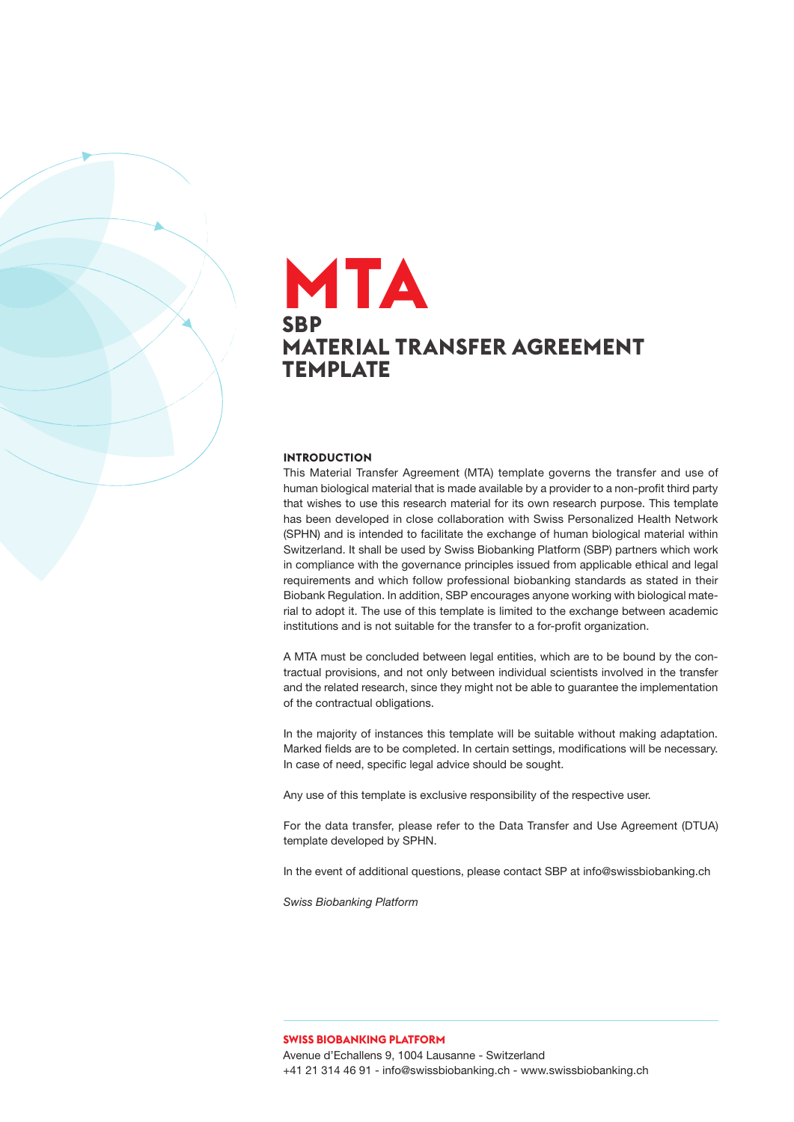### **SBP MATERIAL TRANSFER AGREEMENT TEMPLATE MTA**

#### **INTRODUCTION**

This Material Transfer Agreement (MTA) template governs the transfer and use of human biological material that is made available by a provider to a non-profit third party that wishes to use this research material for its own research purpose. This template has been developed in close collaboration with Swiss Personalized Health Network (SPHN) and is intended to facilitate the exchange of human biological material within Switzerland. It shall be used by Swiss Biobanking Platform (SBP) partners which work in compliance with the governance principles issued from applicable ethical and legal requirements and which follow professional biobanking standards as stated in their Biobank Regulation. In addition, SBP encourages anyone working with biological material to adopt it. The use of this template is limited to the exchange between academic institutions and is not suitable for the transfer to a for-profit organization.

A MTA must be concluded between legal entities, which are to be bound by the contractual provisions, and not only between individual scientists involved in the transfer and the related research, since they might not be able to guarantee the implementation of the contractual obligations.

In the majority of instances this template will be suitable without making adaptation. Marked fields are to be completed. In certain settings, modifications will be necessary. In case of need, specific legal advice should be sought.

Any use of this template is exclusive responsibility of the respective user.

For the data transfer, please refer to the Data Transfer and Use Agreement (DTUA) template developed by SPHN.

In the event of additional questions, please contact SBP at info@swissbiobanking.ch

*Swiss Biobanking Platform* 

**SWISS BIOBANKING PLATFORM** Avenue d'Echallens 9, 1004 Lausanne - Switzerland +41 21 314 46 91 - info@swissbiobanking.ch - www.swissbiobanking.ch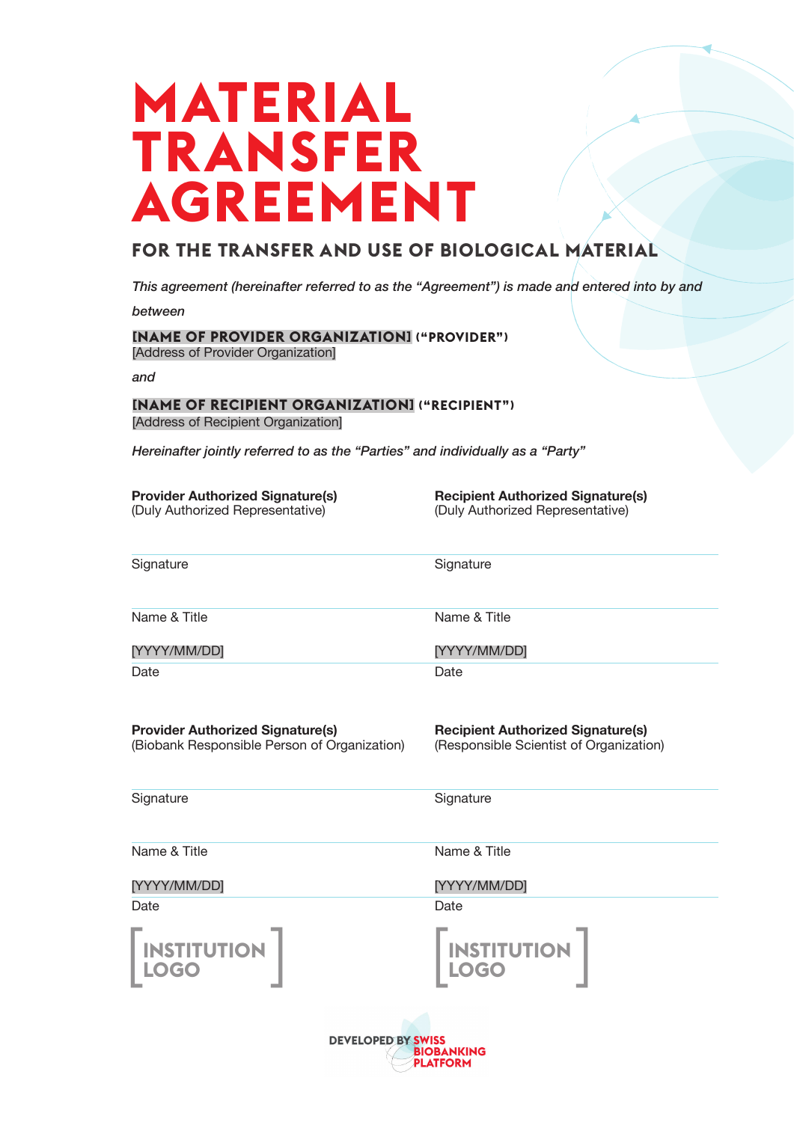# **MATERIAL TRANSFER AGREEMENT**

### **FOR THE TRANSFER AND USE OF BIOLOGICAL MATERIAL**

*This agreement (hereinafter referred to as the "Agreement") is made and entered into by and*

*between*

#### **[NAME OF PROVIDER ORGANIZATION] ("PROVIDER")** [Address of Provider Organization]

*and*

#### **[NAME OF RECIPIENT ORGANIZATION] ("RECIPIENT")** [Address of Recipient Organization]

*Hereinafter jointly referred to as the "Parties" and individually as a "Party"*

| <b>Provider Authorized Signature(s)</b> |  |
|-----------------------------------------|--|
| (Duly Authorized Representative)        |  |

**Recipient Authorized Signature(s)** (Duly Authorized Representative)

| Signature                                                                               | Signature                                                                           |
|-----------------------------------------------------------------------------------------|-------------------------------------------------------------------------------------|
| Name & Title                                                                            | Name & Title                                                                        |
| [YYYY/MM/DD]                                                                            | [YYYY/MM/DD]                                                                        |
| Date                                                                                    | Date                                                                                |
| <b>Provider Authorized Signature(s)</b><br>(Biobank Responsible Person of Organization) | <b>Recipient Authorized Signature(s)</b><br>(Responsible Scientist of Organization) |

**Signature** 

**Signature** 

Date

Name & Title

[YYYY/MM/DD]

Name & Title

[YYYY/MM/DD]

Date

 $\begin{bmatrix} \text{INSTITUTION} \\ \text{LOGO} \end{bmatrix}$ **LOGO**

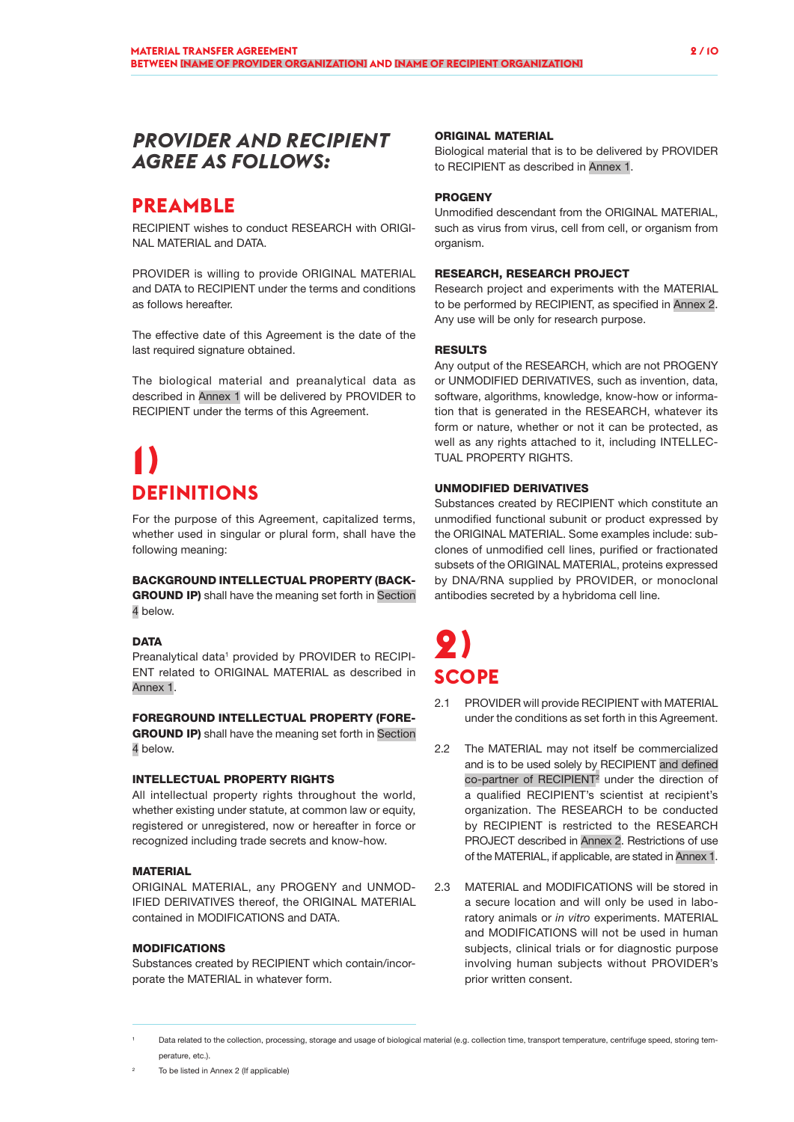### *PROVIDER AND RECIPIENT AGREE AS FOLLOWS:*

### **PREAMBLE**

RECIPIENT wishes to conduct RESEARCH with ORIGI-NAL MATERIAL and DATA.

PROVIDER is willing to provide ORIGINAL MATERIAL and DATA to RECIPIENT under the terms and conditions as follows hereafter

The effective date of this Agreement is the date of the last required signature obtained.

The biological material and preanalytical data as described in Annex 1 will be delivered by PROVIDER to RECIPIENT under the terms of this Agreement.

# **1) DEFINITIONS**

For the purpose of this Agreement, capitalized terms, whether used in singular or plural form, shall have the following meaning:

#### BACKGROUND INTELLECTUAL PROPERTY (BACK-

GROUND IP) shall have the meaning set forth in Section 4 below.

#### **DATA**

Preanalytical data<sup>1</sup> provided by PROVIDER to RECIPI-ENT related to ORIGINAL MATERIAL as described in Annex 1.

#### FOREGROUND INTELLECTUAL PROPERTY (FORE-

**GROUND IP)** shall have the meaning set forth in Section 4 below.

#### INTELLECTUAL PROPERTY RIGHTS

All intellectual property rights throughout the world, whether existing under statute, at common law or equity, registered or unregistered, now or hereafter in force or recognized including trade secrets and know-how.

#### **MATERIAL**

ORIGINAL MATERIAL, any PROGENY and UNMOD-IFIED DERIVATIVES thereof, the ORIGINAL MATERIAL contained in MODIFICATIONS and DATA.

#### MODIFICATIONS

Substances created by RECIPIENT which contain/incorporate the MATERIAL in whatever form.

#### ORIGINAL MATERIAL

Biological material that is to be delivered by PROVIDER to RECIPIENT as described in Annex 1.

#### **PROGENY**

Unmodified descendant from the ORIGINAL MATERIAL, such as virus from virus, cell from cell, or organism from organism.

#### RESEARCH, RESEARCH PROJECT

Research project and experiments with the MATERIAL to be performed by RECIPIENT, as specified in Annex 2. Any use will be only for research purpose.

#### RESULTS

Any output of the RESEARCH, which are not PROGENY or UNMODIFIED DERIVATIVES, such as invention, data, software, algorithms, knowledge, know-how or information that is generated in the RESEARCH, whatever its form or nature, whether or not it can be protected, as well as any rights attached to it, including INTELLEC-TUAL PROPERTY RIGHTS.

#### UNMODIFIED DERIVATIVES

Substances created by RECIPIENT which constitute an unmodified functional subunit or product expressed by the ORIGINAL MATERIAL. Some examples include: subclones of unmodified cell lines, purified or fractionated subsets of the ORIGINAL MATERIAL, proteins expressed by DNA/RNA supplied by PROVIDER, or monoclonal antibodies secreted by a hybridoma cell line.

# **2) SCOPE**

- 2.1 PROVIDER will provide RECIPIENT with MATERIAL under the conditions as set forth in this Agreement.
- 2.2 The MATERIAL may not itself be commercialized and is to be used solely by RECIPIENT and defined co-partner of RECIPIENT<sup>2</sup> under the direction of a qualified RECIPIENT's scientist at recipient's organization. The RESEARCH to be conducted by RECIPIENT is restricted to the RESEARCH PROJECT described in Annex 2. Restrictions of use of the MATERIAL, if applicable, are stated in Annex 1.
- 2.3 MATERIAL and MODIFICATIONS will be stored in a secure location and will only be used in laboratory animals or *in vitro* experiments. MATERIAL and MODIFICATIONS will not be used in human subjects, clinical trials or for diagnostic purpose involving human subjects without PROVIDER's prior written consent.

<sup>2</sup> To be listed in Annex 2 (If applicable)

Data related to the collection, processing, storage and usage of biological material (e.g. collection time, transport temperature, centrifuge speed, storing temperature, etc.).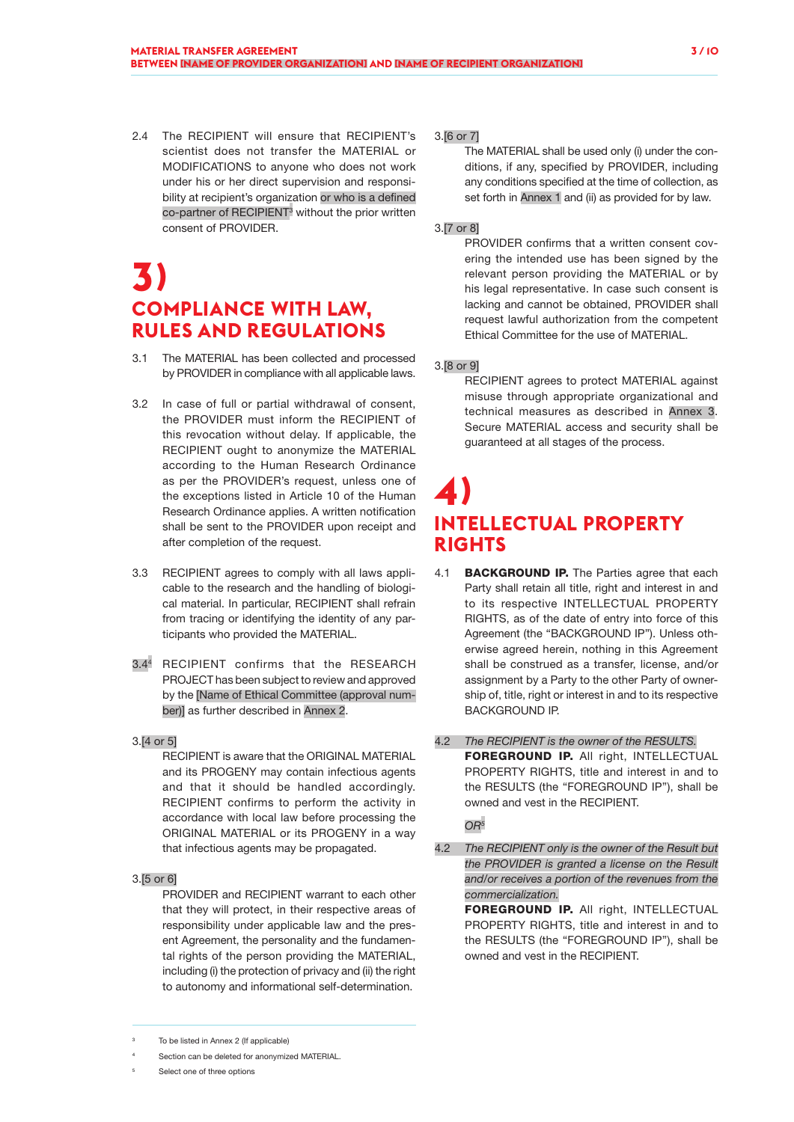2.4 The RECIPIENT will ensure that RECIPIENT's scientist does not transfer the MATERIAL or MODIFICATIONS to anyone who does not work under his or her direct supervision and responsibility at recipient's organization or who is a defined co-partner of RECIPIENT<sup>3</sup> without the prior written consent of PROVIDER.

### **3) COMPLIANCE WITH LAW, RULES AND REGULATIONS**

- 3.1 The MATERIAL has been collected and processed by PROVIDER in compliance with all applicable laws.
- 3.2 In case of full or partial withdrawal of consent, the PROVIDER must inform the RECIPIENT of this revocation without delay. If applicable, the RECIPIENT ought to anonymize the MATERIAL according to the Human Research Ordinance as per the PROVIDER's request, unless one of the exceptions listed in Article 10 of the Human Research Ordinance applies. A written notification shall be sent to the PROVIDER upon receipt and after completion of the request.
- 3.3 RECIPIENT agrees to comply with all laws applicable to the research and the handling of biological material. In particular, RECIPIENT shall refrain from tracing or identifying the identity of any participants who provided the MATERIAL.
- 3.44 RECIPIENT confirms that the RESEARCH PROJECT has been subject to review and approved by the [Name of Ethical Committee (approval number)] as further described in Annex 2.

#### 3.[4 or 5]

RECIPIENT is aware that the ORIGINAL MATERIAL and its PROGENY may contain infectious agents and that it should be handled accordingly. RECIPIENT confirms to perform the activity in accordance with local law before processing the ORIGINAL MATERIAL or its PROGENY in a way that infectious agents may be propagated.

#### 3.[5 or 6]

PROVIDER and RECIPIENT warrant to each other that they will protect, in their respective areas of responsibility under applicable law and the present Agreement, the personality and the fundamental rights of the person providing the MATERIAL, including (i) the protection of privacy and (ii) the right to autonomy and informational self-determination.

#### 3.[6 or 7]

The MATERIAL shall be used only (i) under the conditions, if any, specified by PROVIDER, including any conditions specified at the time of collection, as set forth in Annex 1 and (ii) as provided for by law.

#### 3.[7 or 8]

PROVIDER confirms that a written consent covering the intended use has been signed by the relevant person providing the MATERIAL or by his legal representative. In case such consent is lacking and cannot be obtained, PROVIDER shall request lawful authorization from the competent Ethical Committee for the use of MATERIAL.

#### 3.[8 or 9]

RECIPIENT agrees to protect MATERIAL against misuse through appropriate organizational and technical measures as described in Annex 3. Secure MATERIAL access and security shall be guaranteed at all stages of the process.

### **4) INTELLECTUAL PROPERTY RIGHTS**

- 4.1 **BACKGROUND IP.** The Parties agree that each Party shall retain all title, right and interest in and to its respective INTELLECTUAL PROPERTY RIGHTS, as of the date of entry into force of this Agreement (the "BACKGROUND IP"). Unless otherwise agreed herein, nothing in this Agreement shall be construed as a transfer, license, and/or assignment by a Party to the other Party of ownership of, title, right or interest in and to its respective BACKGROUND IP.
- 4.2 *The RECIPIENT is the owner of the RESULTS.* FOREGROUND IP. All right, INTELLECTUAL PROPERTY RIGHTS, title and interest in and to the RESULTS (the "FOREGROUND IP"), shall be owned and vest in the RECIPIENT.

*OR5*

4.2 *The RECIPIENT only is the owner of the Result but the PROVIDER is granted a license on the Result and/or receives a portion of the revenues from the commercialization.*

> FOREGROUND IP. All right, INTELLECTUAL PROPERTY RIGHTS, title and interest in and to the RESULTS (the "FOREGROUND IP"), shall be owned and vest in the RECIPIENT.

To be listed in Annex 2 (If applicable)

Section can be deleted for anonymized MATERIAL.

Select one of three options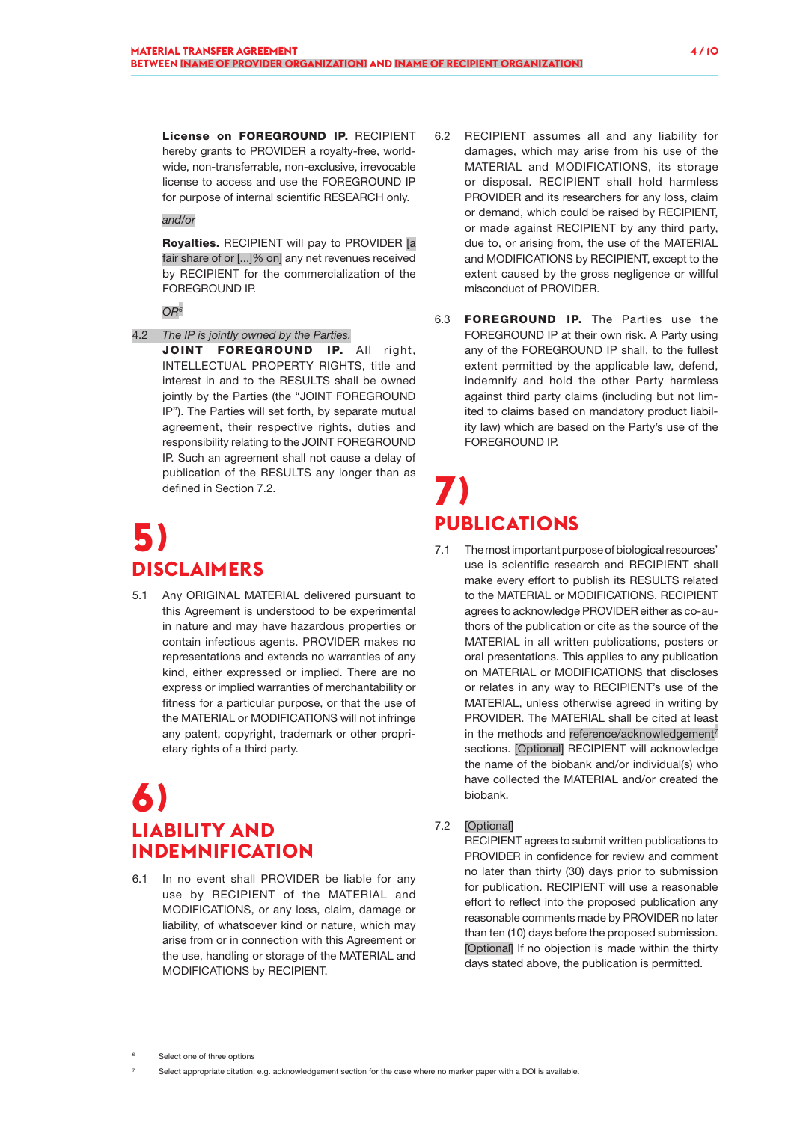License on FOREGROUND IP. RECIPIENT hereby grants to PROVIDER a royalty-free, worldwide, non-transferrable, non-exclusive, irrevocable license to access and use the FOREGROUND IP for purpose of internal scientific RESEARCH only.

*and/or*

Royalties. RECIPIENT will pay to PROVIDER [a fair share of or [...]% on] any net revenues received by RECIPIENT for the commercialization of the FOREGROUND IP.

*OR6*

- 4.2 *The IP is jointly owned by the Parties.*
	- JOINT FOREGROUND IP. All right, INTELLECTUAL PROPERTY RIGHTS, title and interest in and to the RESULTS shall be owned jointly by the Parties (the "JOINT FOREGROUND IP"). The Parties will set forth, by separate mutual agreement, their respective rights, duties and responsibility relating to the JOINT FOREGROUND IP. Such an agreement shall not cause a delay of publication of the RESULTS any longer than as defined in Section 7.2.

# **5) DISCLAIMERS**

5.1 Any ORIGINAL MATERIAL delivered pursuant to this Agreement is understood to be experimental in nature and may have hazardous properties or contain infectious agents. PROVIDER makes no representations and extends no warranties of any kind, either expressed or implied. There are no express or implied warranties of merchantability or fitness for a particular purpose, or that the use of the MATERIAL or MODIFICATIONS will not infringe any patent, copyright, trademark or other proprietary rights of a third party.

### **6) LIABILITY AND INDEMNIFICATION**

6.1 In no event shall PROVIDER be liable for any use by RECIPIENT of the MATERIAL and MODIFICATIONS, or any loss, claim, damage or liability, of whatsoever kind or nature, which may arise from or in connection with this Agreement or the use, handling or storage of the MATERIAL and MODIFICATIONS by RECIPIENT.

- 6.2 RECIPIENT assumes all and any liability for damages, which may arise from his use of the MATERIAL and MODIFICATIONS, its storage or disposal. RECIPIENT shall hold harmless PROVIDER and its researchers for any loss, claim or demand, which could be raised by RECIPIENT, or made against RECIPIENT by any third party, due to, or arising from, the use of the MATERIAL and MODIFICATIONS by RECIPIENT, except to the extent caused by the gross negligence or willful misconduct of PROVIDER.
- 6.3 FOREGROUND IP. The Parties use the FOREGROUND IP at their own risk. A Party using any of the FOREGROUND IP shall, to the fullest extent permitted by the applicable law, defend, indemnify and hold the other Party harmless against third party claims (including but not limited to claims based on mandatory product liability law) which are based on the Party's use of the FOREGROUND IP.

### **7) PUBLICATIONS**

7.1 The most important purpose of biological resources' use is scientific research and RECIPIENT shall make every effort to publish its RESULTS related to the MATERIAL or MODIFICATIONS. RECIPIENT agrees to acknowledge PROVIDER either as co-authors of the publication or cite as the source of the MATERIAL in all written publications, posters or oral presentations. This applies to any publication on MATERIAL or MODIFICATIONS that discloses or relates in any way to RECIPIENT's use of the MATERIAL, unless otherwise agreed in writing by PROVIDER. The MATERIAL shall be cited at least in the methods and reference/acknowledgement<sup>7</sup> sections. [Optional] RECIPIENT will acknowledge the name of the biobank and/or individual(s) who have collected the MATERIAL and/or created the biobank.

#### 7.2 [Optional]

RECIPIENT agrees to submit written publications to PROVIDER in confidence for review and comment no later than thirty (30) days prior to submission for publication. RECIPIENT will use a reasonable effort to reflect into the proposed publication any reasonable comments made by PROVIDER no later than ten (10) days before the proposed submission. [Optional] If no objection is made within the thirty days stated above, the publication is permitted.

Select one of three options

Select appropriate citation: e.g. acknowledgement section for the case where no marker paper with a DOI is available.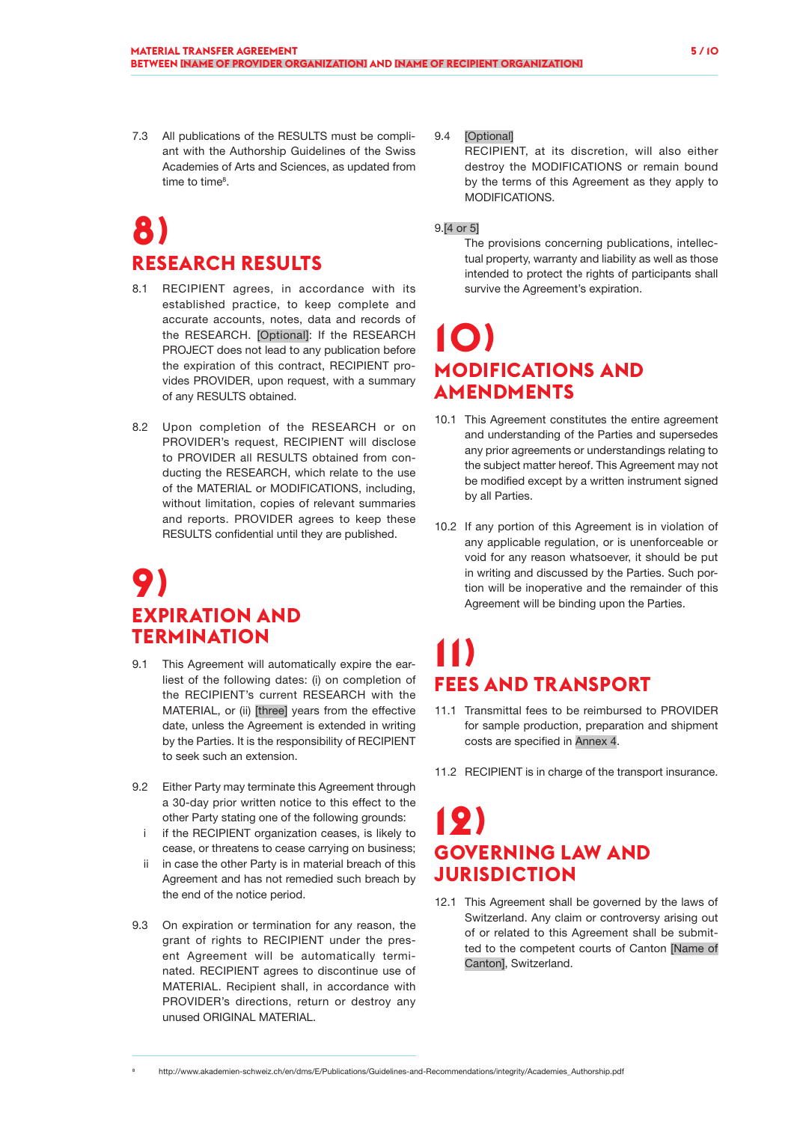7.3 All publications of the RESULTS must be compliant with the Authorship Guidelines of the Swiss Academies of Arts and Sciences, as updated from time to time<sup>8</sup>.

# **8) RESEARCH RESULTS**

- 8.1 RECIPIENT agrees, in accordance with its established practice, to keep complete and accurate accounts, notes, data and records of the RESEARCH. [Optional]: If the RESEARCH PROJECT does not lead to any publication before the expiration of this contract, RECIPIENT provides PROVIDER, upon request, with a summary of any RESULTS obtained.
- 8.2 Upon completion of the RESEARCH or on PROVIDER's request, RECIPIENT will disclose to PROVIDER all RESULTS obtained from conducting the RESEARCH, which relate to the use of the MATERIAL or MODIFICATIONS, including, without limitation, copies of relevant summaries and reports. PROVIDER agrees to keep these RESULTS confidential until they are published.

### **9) EXPIRATION AND TERMINATION**

- 9.1 This Agreement will automatically expire the earliest of the following dates: (i) on completion of the RECIPIENT's current RESEARCH with the MATERIAL, or (ii) [three] years from the effective date, unless the Agreement is extended in writing by the Parties. It is the responsibility of RECIPIENT to seek such an extension.
- 9.2 Either Party may terminate this Agreement through a 30-day prior written notice to this effect to the other Party stating one of the following grounds:
	- i if the RECIPIENT organization ceases, is likely to cease, or threatens to cease carrying on business;
	- ii in case the other Party is in material breach of this Agreement and has not remedied such breach by the end of the notice period.
- 9.3 On expiration or termination for any reason, the grant of rights to RECIPIENT under the present Agreement will be automatically terminated. RECIPIENT agrees to discontinue use of MATERIAL. Recipient shall, in accordance with PROVIDER's directions, return or destroy any unused ORIGINAL MATERIAL.

#### 9.4 [Optional]

RECIPIENT, at its discretion, will also either destroy the MODIFICATIONS or remain bound by the terms of this Agreement as they apply to MODIFICATIONS.

#### 9.[4 or 5]

The provisions concerning publications, intellectual property, warranty and liability as well as those intended to protect the rights of participants shall survive the Agreement's expiration.

### **10) MODIFICATIONS AND AMENDMENTS**

- 10.1 This Agreement constitutes the entire agreement and understanding of the Parties and supersedes any prior agreements or understandings relating to the subject matter hereof. This Agreement may not be modified except by a written instrument signed by all Parties.
- 10.2 If any portion of this Agreement is in violation of any applicable regulation, or is unenforceable or void for any reason whatsoever, it should be put in writing and discussed by the Parties. Such portion will be inoperative and the remainder of this Agreement will be binding upon the Parties.

### **11) FEES AND TRANSPORT**

- 11.1 Transmittal fees to be reimbursed to PROVIDER for sample production, preparation and shipment costs are specified in Annex 4.
- 11.2 RECIPIENT is in charge of the transport insurance.

### **12) GOVERNING LAW AND JURISDICTION**

12.1 This Agreement shall be governed by the laws of Switzerland. Any claim or controversy arising out of or related to this Agreement shall be submitted to the competent courts of Canton [Name of Canton], Switzerland.

<sup>8</sup> http://www.akademien-schweiz.ch/en/dms/E/Publications/Guidelines-and-Recommendations/integrity/Academies\_Authorship.pdf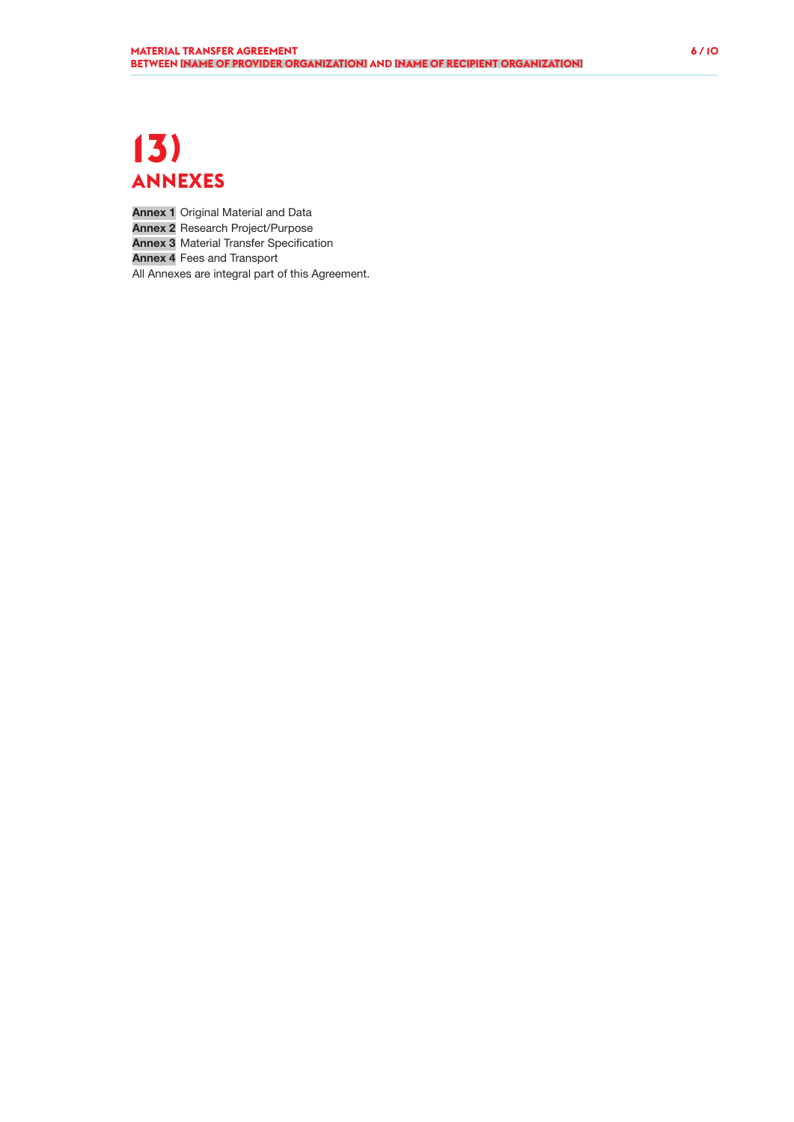### **13) ANNEXES**

Annex 1 Original Material and Data Annex 2 Research Project/Purpose

**Annex 3** Material Transfer Specification

Annex 4 Fees and Transport

All Annexes are integral part of this Agreement.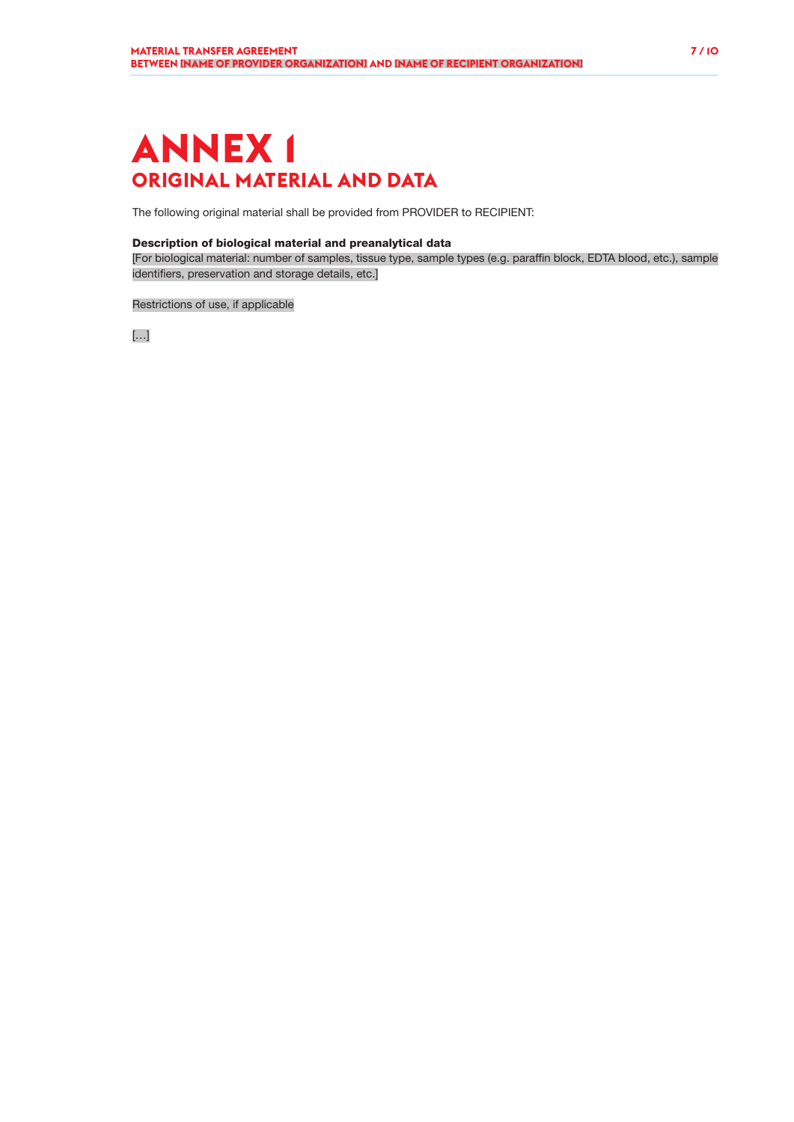### **ANNEX 1 ORIGINAL MATERIAL AND DATA**

The following original material shall be provided from PROVIDER to RECIPIENT:

#### Description of biological material and preanalytical data

[For biological material: number of samples, tissue type, sample types (e.g. paraffin block, EDTA blood, etc.), sample identifiers, preservation and storage details, etc.]

#### Restrictions of use, if applicable

[…]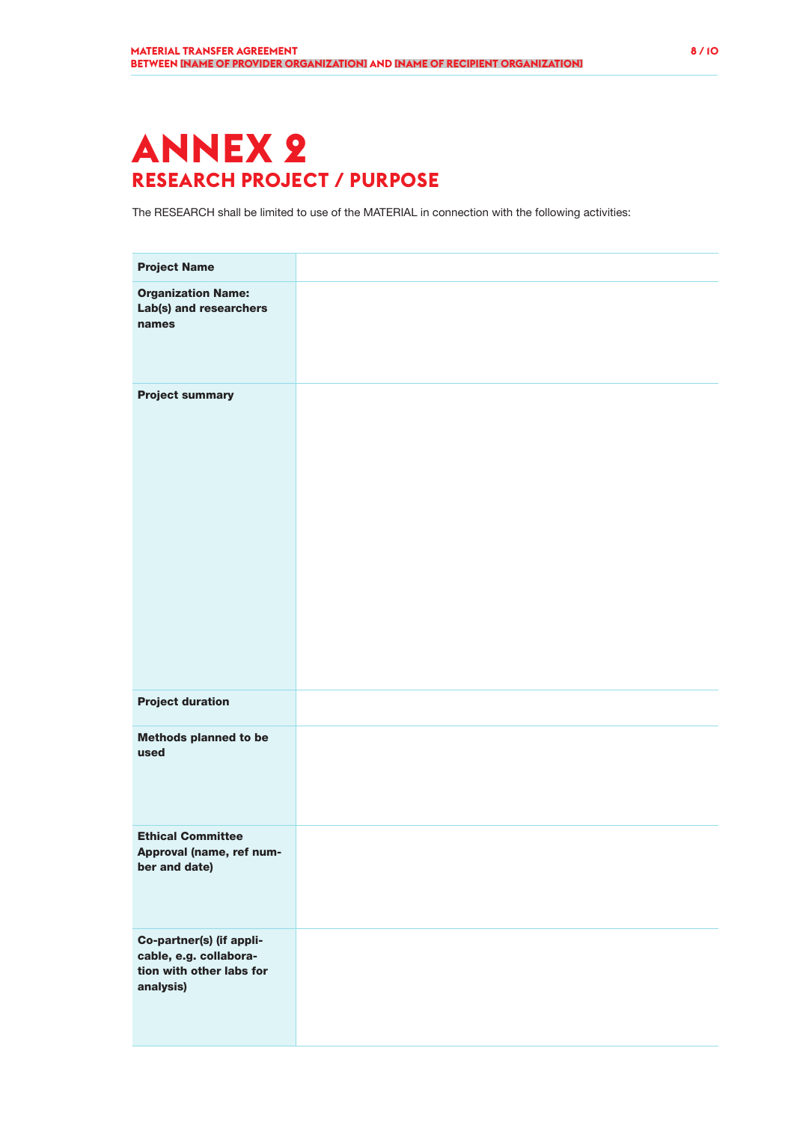# **ANNEX 2 RESEARCH PROJECT / PURPOSE**

The RESEARCH shall be limited to use of the MATERIAL in connection with the following activities:

| <b>Project Name</b>                                                                         |  |
|---------------------------------------------------------------------------------------------|--|
| <b>Organization Name:</b><br>Lab(s) and researchers<br>names                                |  |
| <b>Project summary</b>                                                                      |  |
| <b>Project duration</b>                                                                     |  |
| <b>Methods planned to be</b><br>used                                                        |  |
| <b>Ethical Committee</b><br>Approval (name, ref num-<br>ber and date)                       |  |
| Co-partner(s) (if appli-<br>cable, e.g. collabora-<br>tion with other labs for<br>analysis) |  |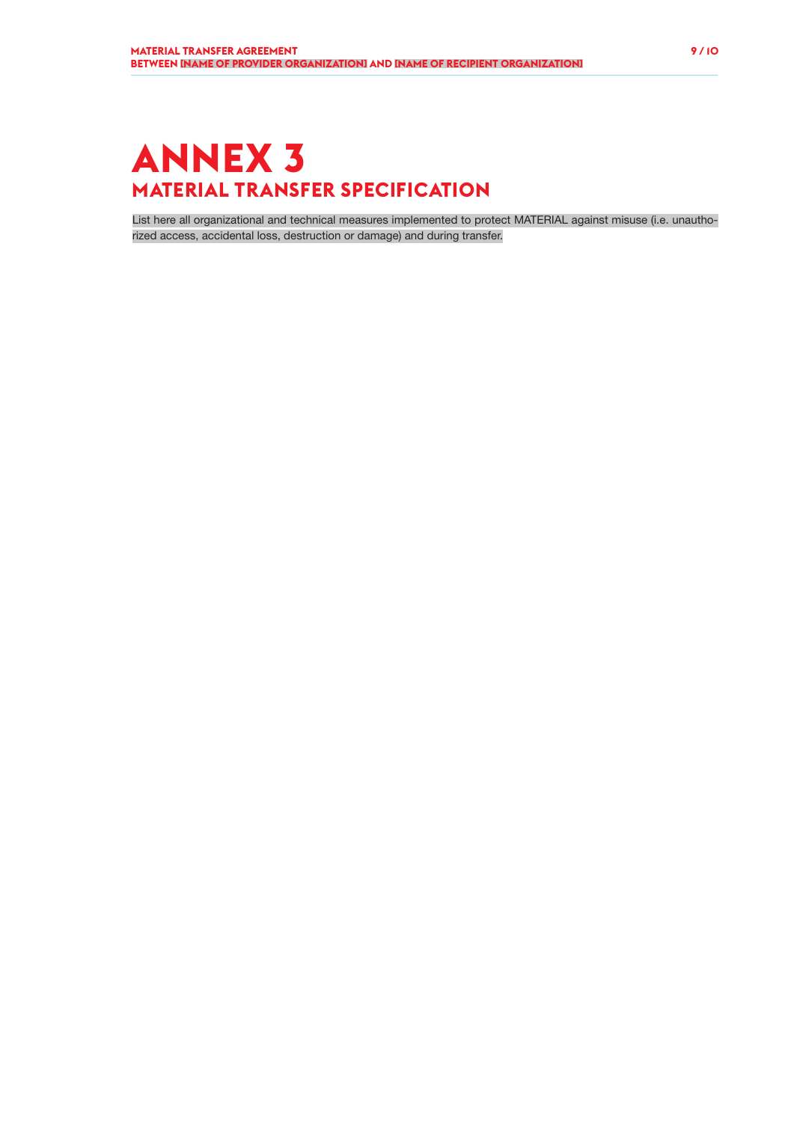# **ANNEX 3 MATERIAL TRANSFER SPECIFICATION**

List here all organizational and technical measures implemented to protect MATERIAL against misuse (i.e. unauthorized access, accidental loss, destruction or damage) and during transfer.